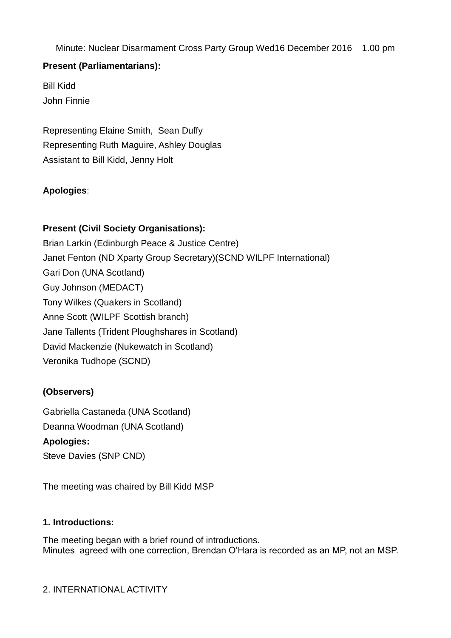Minute: Nuclear Disarmament Cross Party Group Wed16 December 2016 1.00 pm

# **Present (Parliamentarians):**

Bill Kidd John Finnie

Representing Elaine Smith, Sean Duffy Representing Ruth Maguire, Ashley Douglas Assistant to Bill Kidd, Jenny Holt

# **Apologies**:

# **Present (Civil Society Organisations):**

Brian Larkin (Edinburgh Peace & Justice Centre) Janet Fenton (ND Xparty Group Secretary)(SCND WILPF International) Gari Don (UNA Scotland) Guy Johnson (MEDACT) Tony Wilkes (Quakers in Scotland) Anne Scott (WILPF Scottish branch) Jane Tallents (Trident Ploughshares in Scotland) David Mackenzie (Nukewatch in Scotland) Veronika Tudhope (SCND)

# **(Observers)**

Gabriella Castaneda (UNA Scotland) Deanna Woodman (UNA Scotland) **Apologies:** Steve Davies (SNP CND)

The meeting was chaired by Bill Kidd MSP

# **1. Introductions:**

The meeting began with a brief round of introductions. Minutes agreed with one correction, Brendan O'Hara is recorded as an MP, not an MSP.

# 2. INTERNATIONAL ACTIVITY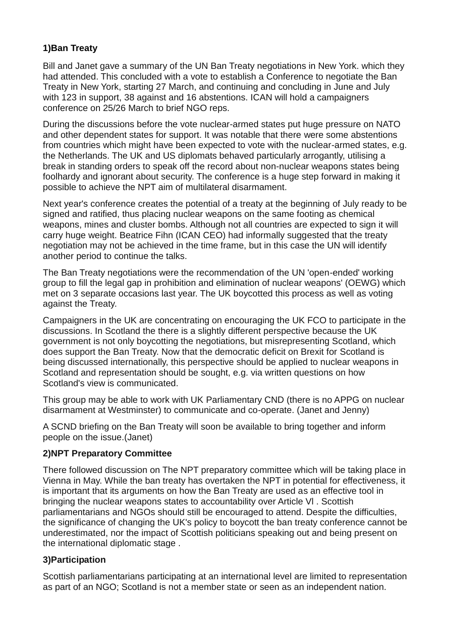# **1)Ban Treaty**

Bill and Janet gave a summary of the UN Ban Treaty negotiations in New York. which they had attended. This concluded with a vote to establish a Conference to negotiate the Ban Treaty in New York, starting 27 March, and continuing and concluding in June and July with 123 in support, 38 against and 16 abstentions. ICAN will hold a campaigners conference on 25/26 March to brief NGO reps.

During the discussions before the vote nuclear-armed states put huge pressure on NATO and other dependent states for support. It was notable that there were some abstentions from countries which might have been expected to vote with the nuclear-armed states, e.g. the Netherlands. The UK and US diplomats behaved particularly arrogantly, utilising a break in standing orders to speak off the record about non-nuclear weapons states being foolhardy and ignorant about security. The conference is a huge step forward in making it possible to achieve the NPT aim of multilateral disarmament.

Next year's conference creates the potential of a treaty at the beginning of July ready to be signed and ratified, thus placing nuclear weapons on the same footing as chemical weapons, mines and cluster bombs. Although not all countries are expected to sign it will carry huge weight. Beatrice Fihn (ICAN CEO) had informally suggested that the treaty negotiation may not be achieved in the time frame, but in this case the UN will identify another period to continue the talks.

The Ban Treaty negotiations were the recommendation of the UN 'open-ended' working group to fill the legal gap in prohibition and elimination of nuclear weapons' (OEWG) which met on 3 separate occasions last year. The UK boycotted this process as well as voting against the Treaty.

Campaigners in the UK are concentrating on encouraging the UK FCO to participate in the discussions. In Scotland the there is a slightly different perspective because the UK government is not only boycotting the negotiations, but misrepresenting Scotland, which does support the Ban Treaty. Now that the democratic deficit on Brexit for Scotland is being discussed internationally, this perspective should be applied to nuclear weapons in Scotland and representation should be sought, e.g. via written questions on how Scotland's view is communicated.

This group may be able to work with UK Parliamentary CND (there is no APPG on nuclear disarmament at Westminster) to communicate and co-operate. (Janet and Jenny)

A SCND briefing on the Ban Treaty will soon be available to bring together and inform people on the issue.(Janet)

# **2)NPT Preparatory Committee**

There followed discussion on The NPT preparatory committee which will be taking place in Vienna in May. While the ban treaty has overtaken the NPT in potential for effectiveness, it is important that its arguments on how the Ban Treaty are used as an effective tool in bringing the nuclear weapons states to accountability over Article Vl . Scottish parliamentarians and NGOs should still be encouraged to attend. Despite the difficulties, the significance of changing the UK's policy to boycott the ban treaty conference cannot be underestimated, nor the impact of Scottish politicians speaking out and being present on the international diplomatic stage .

# **3)Participation**

Scottish parliamentarians participating at an international level are limited to representation as part of an NGO; Scotland is not a member state or seen as an independent nation.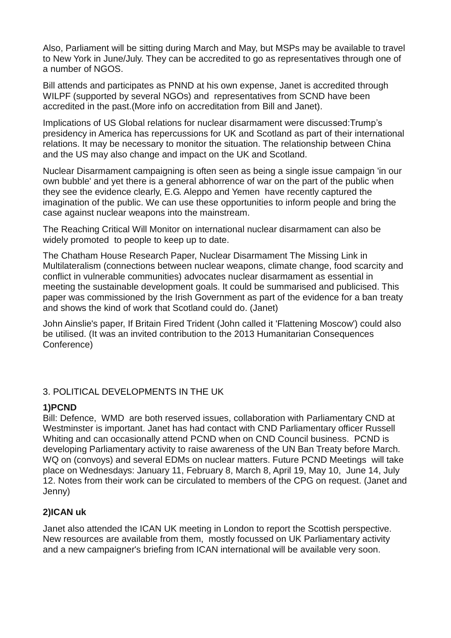Also, Parliament will be sitting during March and May, but MSPs may be available to travel to New York in June/July. They can be accredited to go as representatives through one of a number of NGOS.

Bill attends and participates as PNND at his own expense, Janet is accredited through WILPF (supported by several NGOs) and representatives from SCND have been accredited in the past.(More info on accreditation from Bill and Janet).

Implications of US Global relations for nuclear disarmament were discussed:Trump's presidency in America has repercussions for UK and Scotland as part of their international relations. It may be necessary to monitor the situation. The relationship between China and the US may also change and impact on the UK and Scotland.

Nuclear Disarmament campaigning is often seen as being a single issue campaign 'in our own bubble' and yet there is a general abhorrence of war on the part of the public when they see the evidence clearly, E.G. Aleppo and Yemen have recently captured the imagination of the public. We can use these opportunities to inform people and bring the case against nuclear weapons into the mainstream.

The Reaching Critical Will Monitor on international nuclear disarmament can also be widely promoted to people to keep up to date.

The Chatham House Research Paper, Nuclear Disarmament The Missing Link in Multilateralism (connections between nuclear weapons, climate change, food scarcity and conflict in vulnerable communities) advocates nuclear disarmament as essential in meeting the sustainable development goals. It could be summarised and publicised. This paper was commissioned by the Irish Government as part of the evidence for a ban treaty and shows the kind of work that Scotland could do. (Janet)

John Ainslie's paper, If Britain Fired Trident (John called it 'Flattening Moscow') could also be utilised. (It was an invited contribution to the 2013 Humanitarian Consequences Conference)

# 3. POLITICAL DEVELOPMENTS IN THE UK

#### **1)PCND**

Bill: Defence, WMD are both reserved issues, collaboration with Parliamentary CND at Westminster is important. Janet has had contact with CND Parliamentary officer Russell Whiting and can occasionally attend PCND when on CND Council business. PCND is developing Parliamentary activity to raise awareness of the UN Ban Treaty before March. WQ on (convoys) and several EDMs on nuclear matters. Future PCND Meetings will take place on Wednesdays: January 11, February 8, March 8, April 19, May 10, June 14, July 12. Notes from their work can be circulated to members of the CPG on request. (Janet and Jenny)

#### **2)ICAN uk**

Janet also attended the ICAN UK meeting in London to report the Scottish perspective. New resources are available from them, mostly focussed on UK Parliamentary activity and a new campaigner's briefing from ICAN international will be available very soon.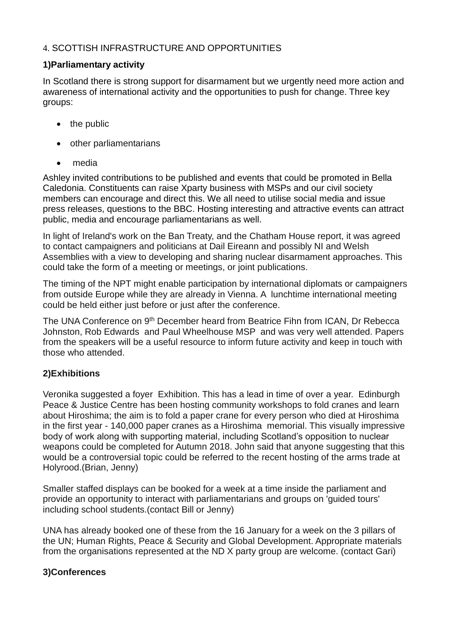# 4. SCOTTISH INFRASTRUCTURE AND OPPORTUNITIES

### **1)Parliamentary activity**

In Scotland there is strong support for disarmament but we urgently need more action and awareness of international activity and the opportunities to push for change. Three key groups:

- $\bullet$  the public
- other parliamentarians
- media

Ashley invited contributions to be published and events that could be promoted in Bella Caledonia. Constituents can raise Xparty business with MSPs and our civil society members can encourage and direct this. We all need to utilise social media and issue press releases, questions to the BBC. Hosting interesting and attractive events can attract public, media and encourage parliamentarians as well.

In light of Ireland's work on the Ban Treaty, and the Chatham House report, it was agreed to contact campaigners and politicians at Dail Eireann and possibly NI and Welsh Assemblies with a view to developing and sharing nuclear disarmament approaches. This could take the form of a meeting or meetings, or joint publications.

The timing of the NPT might enable participation by international diplomats or campaigners from outside Europe while they are already in Vienna. A lunchtime international meeting could be held either just before or just after the conference.

The UNA Conference on 9<sup>th</sup> December heard from Beatrice Fihn from ICAN, Dr Rebecca Johnston, Rob Edwards and Paul Wheelhouse MSP and was very well attended. Papers from the speakers will be a useful resource to inform future activity and keep in touch with those who attended.

# **2)Exhibitions**

Veronika suggested a foyer Exhibition. This has a lead in time of over a year. Edinburgh Peace & Justice Centre has been hosting community workshops to fold cranes and learn about Hiroshima; the aim is to fold a paper crane for every person who died at Hiroshima in the first year - 140,000 paper cranes as a Hiroshima memorial. This visually impressive body of work along with supporting material, including Scotland's opposition to nuclear weapons could be completed for Autumn 2018. John said that anyone suggesting that this would be a controversial topic could be referred to the recent hosting of the arms trade at Holyrood.(Brian, Jenny)

Smaller staffed displays can be booked for a week at a time inside the parliament and provide an opportunity to interact with parliamentarians and groups on 'guided tours' including school students.(contact Bill or Jenny)

UNA has already booked one of these from the 16 January for a week on the 3 pillars of the UN; Human Rights, Peace & Security and Global Development. Appropriate materials from the organisations represented at the ND X party group are welcome. (contact Gari)

# **3)Conferences**